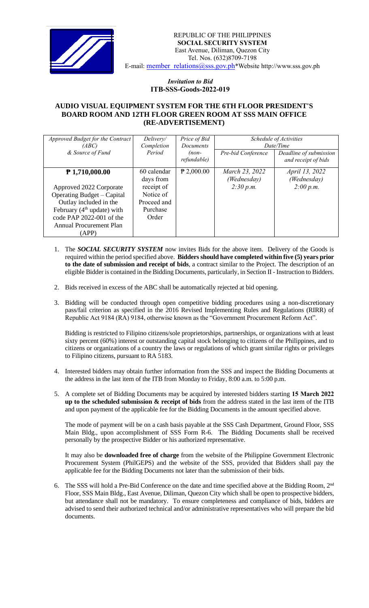

## *Invitation to Bid*  **ITB-SSS-Goods-2022-019**

## **AUDIO VISUAL EQUIPMENT SYSTEM FOR THE 6TH FLOOR PRESIDENT'S BOARD ROOM AND 12TH FLOOR GREEN ROOM AT SSS MAIN OFFICE (RE-ADVERTISEMENT)**

| Approved Budget for the Contract  | Delivery/   | Price of Bid           | Schedule of Activities |                                               |
|-----------------------------------|-------------|------------------------|------------------------|-----------------------------------------------|
| (ABC)                             | Completion  | Documents              | Date/Time              |                                               |
| & Source of Fund                  | Period      | $(non-$<br>refundable) | Pre-bid Conference     | Deadline of submission<br>and receipt of bids |
| $P$ 1,710,000.00                  | 60 calendar | $P$ 2,000.00           | March 23, 2022         | April 13, 2022                                |
|                                   | days from   |                        | (Wednesday)            | (Wednesday)                                   |
| Approved 2022 Corporate           | receipt of  |                        | 2:30 p.m.              | 2:00 p.m.                                     |
| <b>Operating Budget – Capital</b> | Notice of   |                        |                        |                                               |
| Outlay included in the            | Proceed and |                        |                        |                                               |
| February ( $4th$ update) with     | Purchase    |                        |                        |                                               |
| code PAP 2022-001 of the          | Order       |                        |                        |                                               |
| Annual Procurement Plan           |             |                        |                        |                                               |
| (APP)                             |             |                        |                        |                                               |

- 1. The *SOCIAL SECURITY SYSTEM* now invites Bids for the above item. Delivery of the Goods is required within the period specified above. **Bidders should have completed within five (5) years prior to the date of submission and receipt of bids**, a contract similar to the Project. The description of an eligible Bidder is contained in the Bidding Documents, particularly, in Section II - Instruction to Bidders.
- 2. Bids received in excess of the ABC shall be automatically rejected at bid opening.
- 3. Bidding will be conducted through open competitive bidding procedures using a non-discretionary pass/fail criterion as specified in the 2016 Revised Implementing Rules and Regulations (RIRR) of Republic Act 9184 (RA) 9184, otherwise known as the "Government Procurement Reform Act".

Bidding is restricted to Filipino citizens/sole proprietorships, partnerships, or organizations with at least sixty percent (60%) interest or outstanding capital stock belonging to citizens of the Philippines, and to citizens or organizations of a country the laws or regulations of which grant similar rights or privileges to Filipino citizens, pursuant to RA 5183.

- 4. Interested bidders may obtain further information from the SSS and inspect the Bidding Documents at the address in the last item of the ITB from Monday to Friday, 8:00 a.m. to 5:00 p.m.
- 5. A complete set of Bidding Documents may be acquired by interested bidders starting **15 March 2022 up to the scheduled submission & receipt of bids** from the address stated in the last item of the ITB and upon payment of the applicable fee for the Bidding Documents in the amount specified above.

The mode of payment will be on a cash basis payable at the SSS Cash Department, Ground Floor, SSS Main Bldg., upon accomplishment of SSS Form R-6. The Bidding Documents shall be received personally by the prospective Bidder or his authorized representative.

It may also be **downloaded free of charge** from the website of the Philippine Government Electronic Procurement System (PhilGEPS) and the website of the SSS*,* provided that Bidders shall pay the applicable fee for the Bidding Documents not later than the submission of their bids.

6. The SSS will hold a Pre-Bid Conference on the date and time specified above at the Bidding Room, 2<sup>nd</sup> Floor, SSS Main Bldg., East Avenue, Diliman, Quezon City which shall be open to prospective bidders, but attendance shall not be mandatory. To ensure completeness and compliance of bids, bidders are advised to send their authorized technical and/or administrative representatives who will prepare the bid documents.